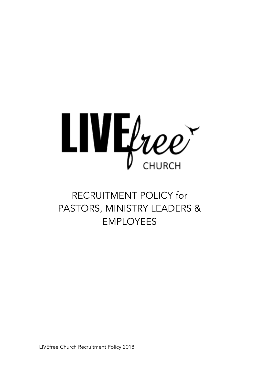

# RECRUITMENT POLICY for PASTORS, MINISTRY LEADERS & EMPLOYEES

LIVEfree Church Recruitment Policy 2018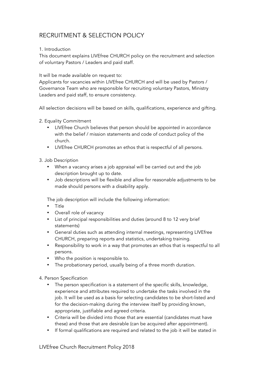# RECRUITMENT & SELECTION POLICY

## 1. Introduction

This document explains LIVEfree CHURCH policy on the recruitment and selection of voluntary Pastors / Leaders and paid staff.

#### It will be made available on request to:

Applicants for vacancies within LIVEfree CHURCH and will be used by Pastors / Governance Team who are responsible for recruiting voluntary Pastors, Ministry Leaders and paid staff, to ensure consistency.

All selection decisions will be based on skills, qualifications, experience and gifting.

- 2. Equality Commitment
	- LIVEfree Church believes that person should be appointed in accordance with the belief / mission statements and code of conduct policy of the church.
	- LIVEfree CHURCH promotes an ethos that is respectful of all persons.
- 3. Job Description
	- When a vacancy arises a job appraisal will be carried out and the job description brought up to date.
	- Job descriptions will be flexible and allow for reasonable adjustments to be made should persons with a disability apply.

The job description will include the following information:

- Title
- Overall role of vacancy
- List of principal responsibilities and duties (around 8 to 12 very brief statements)
- General duties such as attending internal meetings, representing LIVEfree CHURCH, preparing reports and statistics, undertaking training.
- Responsibility to work in a way that promotes an ethos that is respectful to all persons.
- Who the position is responsible to.
- The probationary period, usually being of a three month duration.

4. Person Specification

- The person specification is a statement of the specific skills, knowledge, experience and attributes required to undertake the tasks involved in the job. It will be used as a basis for selecting candidates to be short-listed and for the decision-making during the interview itself by providing known, appropriate, justifiable and agreed criteria.
- Criteria will be divided into those that are essential (candidates must have these) and those that are desirable (can be acquired after appointment).
- If formal qualifications are required and related to the job it will be stated in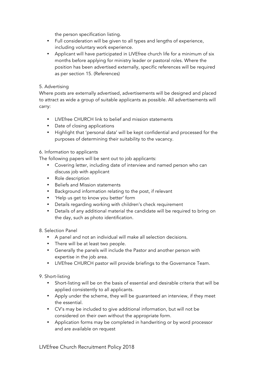the person specification listing.

- Full consideration will be given to all types and lengths of experience, including voluntary work experience.
- Applicant will have participated in LIVEfree church life for a minimum of six months before applying for ministry leader or pastoral roles. Where the position has been advertised externally, specific references will be required as per section 15. (References)

#### 5. Advertising

Where posts are externally advertised, advertisements will be designed and placed to attract as wide a group of suitable applicants as possible. All advertisements will carry:

- LIVEfree CHURCH link to belief and mission statements
- Date of closing applications
- Highlight that 'personal data' will be kept confidential and processed for the purposes of determining their suitability to the vacancy.

#### 6. Information to applicants

The following papers will be sent out to job applicants:

- Covering letter, including date of interview and named person who can discuss job with applicant
- Role description
- Beliefs and Mission statements
- Background information relating to the post, if relevant
- 'Help us get to know you better' form
- Details regarding working with children's check requirement
- Details of any additional material the candidate will be required to bring on the day, such as photo identification.

8. Selection Panel

- A panel and not an individual will make all selection decisions.
- There will be at least two people.
- Generally the panels will include the Pastor and another person with expertise in the job area.
- LIVEfree CHURCH pastor will provide briefings to the Governance Team.

9. Short-listing

- Short-listing will be on the basis of essential and desirable criteria that will be applied consistently to all applicants.
- Apply under the scheme, they will be guaranteed an interview, if they meet the essential.
- CV's may be included to give additional information, but will not be considered on their own without the appropriate form.
- Application forms may be completed in handwriting or by word processor and are available on request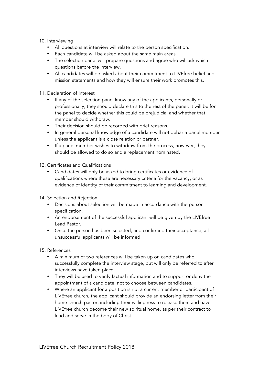#### 10. Interviewing

- All questions at interview will relate to the person specification.
- Each candidate will be asked about the same main areas.
- The selection panel will prepare questions and agree who will ask which questions before the interview.
- All candidates will be asked about their commitment to LIVEfree belief and mission statements and how they will ensure their work promotes this.

#### 11. Declaration of Interest

- If any of the selection panel know any of the applicants, personally or professionally, they should declare this to the rest of the panel. It will be for the panel to decide whether this could be prejudicial and whether that member should withdraw.
- Their decision should be recorded with brief reasons.
- In general personal knowledge of a candidate will not debar a panel member unless the applicant is a close relation or partner.
- If a panel member wishes to withdraw from the process, however, they should be allowed to do so and a replacement nominated.
- 12. Certificates and Qualifications
	- Candidates will only be asked to bring certificates or evidence of qualifications where these are necessary criteria for the vacancy, or as evidence of identity of their commitment to learning and development.
- 14. Selection and Rejection
	- Decisions about selection will be made in accordance with the person specification.
	- An endorsement of the successful applicant will be given by the LIVEfree Lead Pastor.
	- Once the person has been selected, and confirmed their acceptance, all unsuccessful applicants will be informed.

15. References

- A minimum of two references will be taken up on candidates who successfully complete the interview stage, but will only be referred to after interviews have taken place.
- They will be used to verify factual information and to support or deny the appointment of a candidate, not to choose between candidates.
- Where an applicant for a position is not a current member or participant of LIVEfree church, the applicant should provide an endorsing letter from their home church pastor, including their willingness to release them and have LIVEfree church become their new spiritual home, as per their contract to lead and serve in the body of Christ.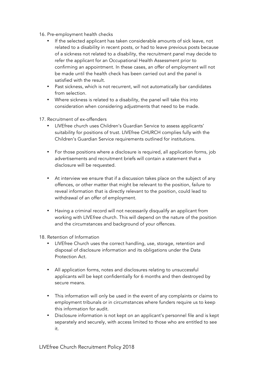- 16. Pre-employment health checks
	- If the selected applicant has taken considerable amounts of sick leave, not related to a disability in recent posts, or had to leave previous posts because of a sickness not related to a disability, the recruitment panel may decide to refer the applicant for an Occupational Health Assessment prior to confirming an appointment. In these cases, an offer of employment will not be made until the health check has been carried out and the panel is satisfied with the result.
	- Past sickness, which is not recurrent, will not automatically bar candidates from selection.
	- Where sickness is related to a disability, the panel will take this into consideration when considering adjustments that need to be made.
- 17. Recruitment of ex-offenders
	- LIVEfree church uses Children's Guardian Service to assess applicants' suitability for positions of trust. LIVEfree CHURCH complies fully with the Children's Guardian Service requirements outlined for institutions.
	- For those positions where a disclosure is required, all application forms, job advertisements and recruitment briefs will contain a statement that a disclosure will be requested.
	- At interview we ensure that if a discussion takes place on the subject of any offences, or other matter that might be relevant to the position, failure to reveal information that is directly relevant to the position, could lead to withdrawal of an offer of employment.
	- Having a criminal record will not necessarily disqualify an applicant from working with LIVE*free* church. This will depend on the nature of the position and the circumstances and background of your offences.
- 18. Retention of Information
	- LIVEfree Church uses the correct handling, use, storage, retention and disposal of disclosure information and its obligations under the Data Protection Act.
	- All application forms, notes and disclosures relating to unsuccessful applicants will be kept confidentially for 6 months and then destroyed by secure means.
	- This information will only be used in the event of any complaints or claims to employment tribunals or in circumstances where funders require us to keep this information for audit.
	- Disclosure information is not kept on an applicant's personnel file and is kept separately and securely, with access limited to those who are entitled to see it.